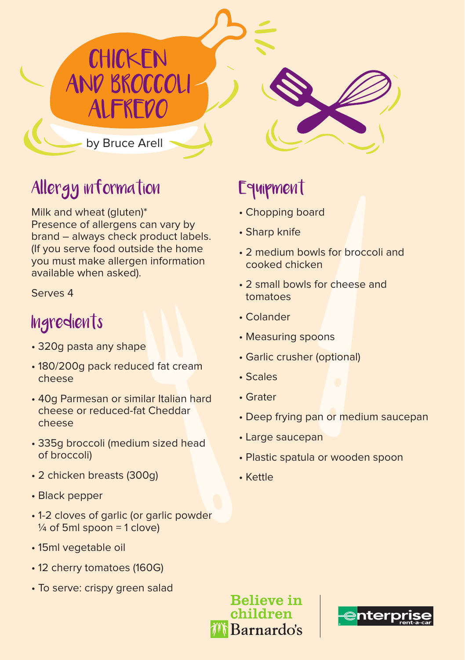by Bruce Arell

**CHICKEN** 

AND BROCCOLI

ALFREDO

### Allergy information

Milk and wheat (gluten)\* Presence of allergens can vary by brand – always check product labels. (If you serve food outside the home you must make allergen information available when asked).

Serves 4

#### **Ingredients**

- 320g pasta any shape
- 180/200g pack reduced fat cream cheese
- 40g Parmesan or similar Italian hard cheese or reduced-fat Cheddar cheese
- 335g broccoli (medium sized head of broccoli)
- 2 chicken breasts (300g)
- Black pepper
- 1-2 cloves of garlic (or garlic powder  $\frac{1}{4}$  of 5ml spoon = 1 clove)
- 15ml vegetable oil
- 12 cherry tomatoes (160G)
- To serve: crispy green salad

## Equipment

- Chopping board
- Sharp knife
- 2 medium bowls for broccoli and cooked chicken
- 2 small bowls for cheese and tomatoes
- Colander
- Measuring spoons
- Garlic crusher (optional)
- Scales
- Grater
- Deep frying pan or medium saucepan
- Large saucepan
- Plastic spatula or wooden spoon
- Kettle